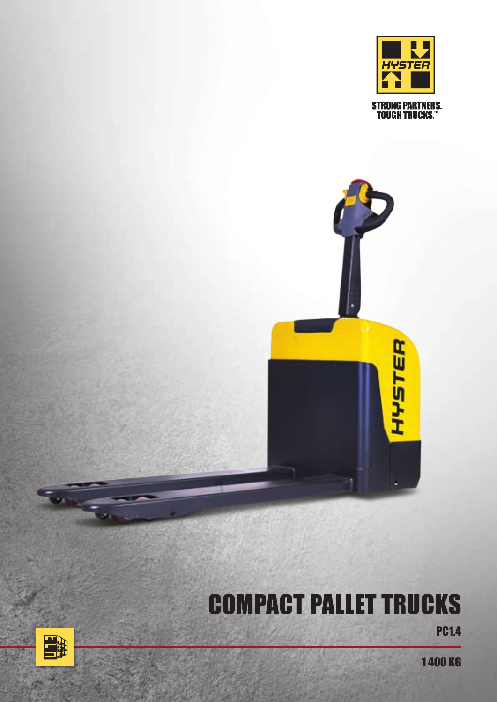

**HYSTER** 

# **PC1.4** COMPACT PALLET TRUCKS



1 400 KG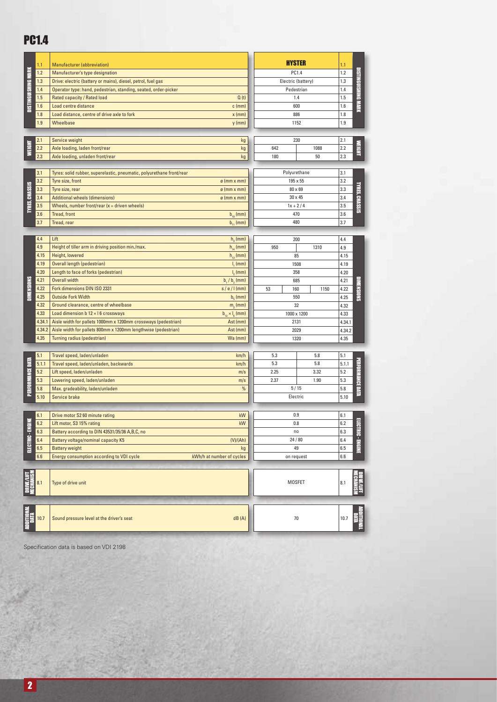### **PC1.4**

|                       | 1.1            | Manufacturer (abbreviation)                                                                                                      |                           | HYSTER             |         | 1.1            |                            |
|-----------------------|----------------|----------------------------------------------------------------------------------------------------------------------------------|---------------------------|--------------------|---------|----------------|----------------------------|
| DISTINGUISHING MARK   | 1.2            | Manufacturer's type designation                                                                                                  |                           | PC1.4              |         | 1.2            |                            |
|                       | 1.3            | Drive: electric (battery or mains), diesel, petrol, fuel gas                                                                     |                           | Electric (battery) |         | 1.3            | <b>DISTINGUISHING MARK</b> |
|                       | 1.4            | Operator type: hand, pedestrian, standing, seated, order-picker                                                                  |                           | Pedestrian         |         | 1.4            |                            |
|                       | 1.5            | Rated capacity / Rated load                                                                                                      | Q(t)                      |                    | 1.4     |                |                            |
|                       | 1.6            | Load centre distance                                                                                                             | $c$ (mm)                  | 600                |         | 1.6            |                            |
|                       | 1.8            | Load distance, centre of drive axle to fork                                                                                      | $x$ (mm)                  |                    | 886     |                |                            |
|                       | 1.9            | Wheelbase                                                                                                                        | $y$ (mm)                  |                    | 1152    |                |                            |
|                       |                |                                                                                                                                  |                           |                    |         |                |                            |
|                       | 2.1            | Service weight                                                                                                                   | kg                        |                    | 230     | 2.1            |                            |
| <b>WEIGHT</b>         | 2.2            | Axle loading, laden front/rear                                                                                                   | kg                        | 642                | 1088    | 2.2            | <b>NEIGHT</b>              |
|                       | 2.3            | Axle loading, unladen front/rear                                                                                                 | kg                        | 180                | 50      | 2.3            |                            |
| <b>TYRES, CHASSIS</b> |                |                                                                                                                                  |                           |                    |         |                |                            |
|                       | 3.1            | Tyres: solid rubber, superelastic, pneumatic, polyurethane front/rear                                                            |                           | Polyurethane       |         | 3.1            | TYRES, CHASSIS             |
|                       | 3.2            | Tyre size, front                                                                                                                 | $\emptyset$ (mm x mm)     | 195 x 55           |         | 3.2            |                            |
|                       | 3.3            | Tyre size, rear                                                                                                                  | $\varnothing$ (mm x mm)   |                    | 80 x 69 |                |                            |
|                       | 3.4            | <b>Additional wheels (dimensions)</b>                                                                                            | $\varnothing$ (mm x mm)   | 30 x 45            |         | 3.4            |                            |
|                       | 3.5            | Wheels, number front/rear $(x =$ driven wheels)                                                                                  |                           | $1x + 2/4$         |         | 3.5            |                            |
|                       | 3.6            | Tread, front                                                                                                                     | $b_{10}$ (mm)             | 470<br>480         |         | 3.6            |                            |
|                       | 3.7            | Tread, rear                                                                                                                      | $b_{11}$ (mm)             |                    |         | 3.7            |                            |
|                       |                |                                                                                                                                  |                           |                    |         |                |                            |
|                       | 4.4            | Lift                                                                                                                             | $h3$ (mm)                 |                    | 200     | 4.4            |                            |
|                       | 4.9            | Height of tiller arm in driving position min./max.                                                                               | $h_{14}$ (mm)             | 950                | 1310    | 4.9            |                            |
|                       | 4.15           | Height, lowered                                                                                                                  | $h_{13}$ (mm)             | 85                 |         | 4.15           |                            |
|                       | 4.19           | Overall length (pedestrian)                                                                                                      | I, (mm)                   | 1508               |         | 4.19<br>4.20   |                            |
|                       | 4.20           | Length to face of forks (pedestrian)                                                                                             | $l_2$ (mm)                |                    | 358     |                |                            |
| <b>DIMENSIONS</b>     | 4.21           | <b>Overall width</b>                                                                                                             | $b_1/b_2$ (mm)            |                    | 685     | 4.21           | <b>DIMENSIONS</b><br>4.22  |
|                       | 4.22           | Fork dimensions DIN ISO 2331                                                                                                     | $s/e/I$ (mm)              | 53<br>160          | 1150    |                |                            |
|                       | 4.25           | <b>Outside Fork Width</b>                                                                                                        | $b_{n}$ (mm)              | 550                |         | 4.25           |                            |
|                       | 4.32           | Ground clearance, centre of wheelbase                                                                                            | $m2$ (mm)                 | 32                 |         | 4.32           |                            |
|                       | 4.33<br>4.34.1 | Load dimension $b$ 12 $\times$ 16 crossways                                                                                      | $b_{12} \times l_g$ (mm)  | 1000 x 1200        |         | 4.33           |                            |
|                       | 4.34.2         | Aisle width for pallets 1000mm x 1200mm crossways (pedestrian)<br>Aisle width for pallets 800mm x 1200mm lengthwise (pedestrian) | Ast (mm)<br>Ast (mm)      | 2131               |         | 4.34.1         |                            |
|                       | 4.35           | Turning radius (pedestrian)                                                                                                      | Wa (mm)                   | 2029<br>1320       |         | 4.34.2<br>4.35 |                            |
|                       |                |                                                                                                                                  |                           |                    |         |                |                            |
|                       | 5.1            | Travel speed, laden/unladen                                                                                                      | km/h                      | 5.3                | 5.8     | 5.1            |                            |
|                       | 5.1.1          | Travel speed, laden/unladen, backwards                                                                                           | km/h                      | 5.3                | 5.8     | 5.1.1          |                            |
|                       | 5.2            | Lift speed, laden/unladen                                                                                                        | m/s                       | 2.25               | 3.32    | 5.2            | <b>PERFORMANCE DATA</b>    |
| PERFORMANCE DATA      | 5.3            | Lowering speed, laden/unladen                                                                                                    | m/s                       | 2.37               | 1.90    | 5.3            |                            |
|                       | 5.8            | Max. gradeability, laden/unladen                                                                                                 | $\%$                      | 5/15               |         | 5.8            |                            |
|                       | 5.10           | Service brake                                                                                                                    |                           | Electric           |         | 5.10           |                            |
|                       |                |                                                                                                                                  |                           |                    |         |                |                            |
| ≣<br>ELECTRIC - EN    | 6.1            | Drive motor S2 60 minute rating                                                                                                  | kW                        |                    | 0.9     | 6.1            |                            |
|                       | 6.2            | Lift motor, S3 15% rating                                                                                                        | kW                        | 0.8                |         | 6.2            | E                          |
|                       | 6.3            | Battery according to DIN 43531/35/36 A,B,C, no                                                                                   |                           | n <sub>0</sub>     |         | 6.3            |                            |
|                       | 6.4            | Battery voltage/nominal capacity K5                                                                                              | (V)/(Ah)                  | 24/80              |         | 6.4            |                            |
|                       | 6.5            | <b>Battery weight</b>                                                                                                            | kg                        | 49                 |         | 6.5            | <b>CTRIC-ENGINE</b>        |
|                       | 6.6            | Energy consumption according to VDI cycle                                                                                        | kWh/h at number of cycles | on request         |         | 6.6            |                            |
| DRIVE/LIFT            | 8.1            | Type of drive unit                                                                                                               |                           | MOSFET             |         | 8.1            |                            |
|                       |                |                                                                                                                                  |                           |                    |         |                |                            |
|                       | 10.7           | Sound pressure level at the driver's seat                                                                                        | dB(A)                     |                    | 70      | 10.7           |                            |
|                       |                |                                                                                                                                  |                           |                    |         |                |                            |

Specification data is based on VDI 2198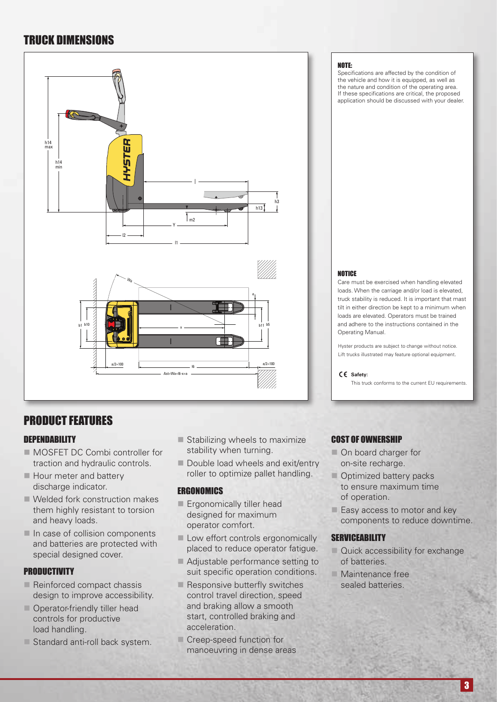### TRUCK DIMENSIONS



### PRODUCT FEATURES

#### **DEPENDABILITY**

- MOSFET DC Combi controller for traction and hydraulic controls.
- $\blacksquare$  Hour meter and battery discharge indicator.
- $\blacksquare$  Welded fork construction makes them highly resistant to torsion and heavy loads.
- $\blacksquare$  In case of collision components and batteries are protected with special designed cover.

#### **PRODUCTIVITY**

- $\blacksquare$  Reinforced compact chassis design to improve accessibility.
- $\blacksquare$  Operator-friendly tiller head controls for productive load handling.
- $\square$  Standard anti-roll back system.
- $\blacksquare$  Stabilizing wheels to maximize stability when turning.
- Double load wheels and exit/entry roller to optimize pallet handling.

#### **ERGONOMICS**

- **Exponomically tiller head** designed for maximum operator comfort.
- **Low effort controls ergonomically** placed to reduce operator fatigue.
- Adjustable performance setting to suit specific operation conditions.
- $\blacksquare$  Responsive butterfly switches control travel direction, speed and braking allow a smooth start, controlled braking and acceleration.
- Creep-speed function for manoeuvring in dense areas

#### NOTE:

Specifications are affected by the condition of the vehicle and how it is equipped, as well as the nature and condition of the operating area. If these specifications are critical, the proposed application should be discussed with your dealer.

#### **NOTICE**

Care must be exercised when handling elevated loads. When the carriage and/or load is elevated, truck stability is reduced. It is important that mast tilt in either direction be kept to a minimum when loads are elevated. Operators must be trained and adhere to the instructions contained in the Operating Manual.

Hyster products are subject to change without notice. Lift trucks illustrated may feature optional equipment.

#### **Safety:**

This truck conforms to the current EU requirements.

#### COST OF OWNERSHIP

- **n** On board charger for on-site recharge.
- **n** Optimized battery packs to ensure maximum time of operation.
- $\blacksquare$  Easy access to motor and key components to reduce downtime.

#### **SERVICEABILITY**

- $\Box$  Quick accessibility for exchange of batteries.
- $n$  Maintenance free sealed batteries.